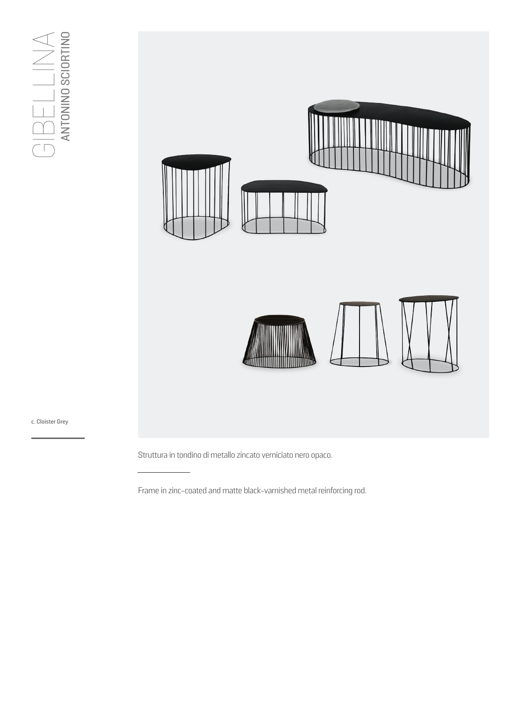## $\bigcap_{\text{ANTOMING SCIORTINO}}\bigcap_{\text{A}}\bigcup_{\text{SCIORTINO}}\bigtriangleup$  $\bigcap_{\mathsf{C}}\bigcup_{\mathsf{C}}\bigcup_{\mathsf{C}}\bigcup_{\mathsf{C}}\bigcup_{\mathsf{C}}\bigcup_{\mathsf{C}}\bigcup_{\mathsf{C}}\bigcup_{\mathsf{C}}\bigcup_{\mathsf{C}}\bigcup_{\mathsf{C}}\bigcup_{\mathsf{C}}\bigcap_{\mathsf{C}}\bigcap_{\mathsf{C}}\bigcap_{\mathsf{C}}\bigcap_{\mathsf{C}}\bigcap_{\mathsf{C}}\bigcap_{\mathsf{C}}\bigcap_{\mathsf{C}}\bigcap_{\mathsf{C}}\bigcap_{\mathsf{C}}\bigcap_{\mathsf{C}}\bigcap_{\mathsf{C}}$



## c. Cloister Grey

Struttura in tondino di metallo zincato verniciato nero opaco.

Frame in zinc-coated and matte black-varnished metal reinforcing rod.